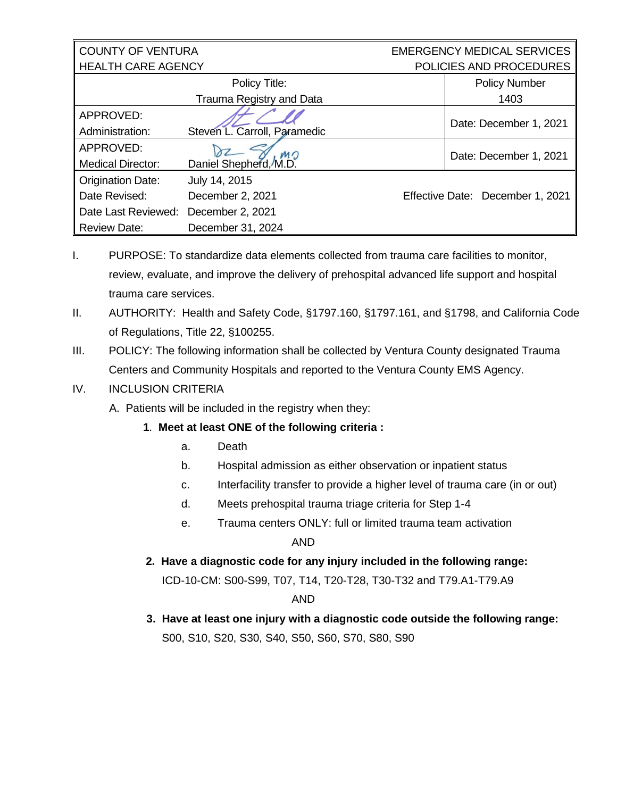| <b>COUNTY OF VENTURA</b>  |                              | <b>EMERGENCY MEDICAL SERVICES</b> |  |
|---------------------------|------------------------------|-----------------------------------|--|
| <b>HEALTH CARE AGENCY</b> |                              | POLICIES AND PROCEDURES           |  |
|                           | Policy Title:                | <b>Policy Number</b>              |  |
|                           | Trauma Registry and Data     | 1403                              |  |
| APPROVED:                 |                              | Date: December 1, 2021            |  |
| Administration:           | Steven L. Carroll, Paramedic |                                   |  |
| APPROVED:                 | MO                           | Date: December 1, 2021            |  |
| <b>Medical Director:</b>  | Daniel Shepherd, M.D.        |                                   |  |
| <b>Origination Date:</b>  | July 14, 2015                |                                   |  |
| Date Revised:             | December 2, 2021             | Effective Date: December 1, 2021  |  |
| Date Last Reviewed:       | December 2, 2021             |                                   |  |
| <b>Review Date:</b>       | December 31, 2024            |                                   |  |

- I. PURPOSE: To standardize data elements collected from trauma care facilities to monitor, review, evaluate, and improve the delivery of prehospital advanced life support and hospital trauma care services.
- II. AUTHORITY: Health and Safety Code, §1797.160, §1797.161, and §1798, and California Code of Regulations, Title 22, §100255.
- III. POLICY: The following information shall be collected by Ventura County designated Trauma Centers and Community Hospitals and reported to the Ventura County EMS Agency.

## IV. INCLUSION CRITERIA

A. Patients will be included in the registry when they:

# **1**. **Meet at least ONE of the following criteria :**

- a. Death
- b. Hospital admission as either observation or inpatient status
- c. Interfacility transfer to provide a higher level of trauma care (in or out)
- d. Meets prehospital trauma triage criteria for Step 1-4
- e. Trauma centers ONLY: full or limited trauma team activation

AND

 **2. Have a diagnostic code for any injury included in the following range:**

ICD-10-CM: S00-S99, T07, T14, T20-T28, T30-T32 and T79.A1-T79.A9

### AND

 **3. Have at least one injury with a diagnostic code outside the following range:** S00, S10, S20, S30, S40, S50, S60, S70, S80, S90